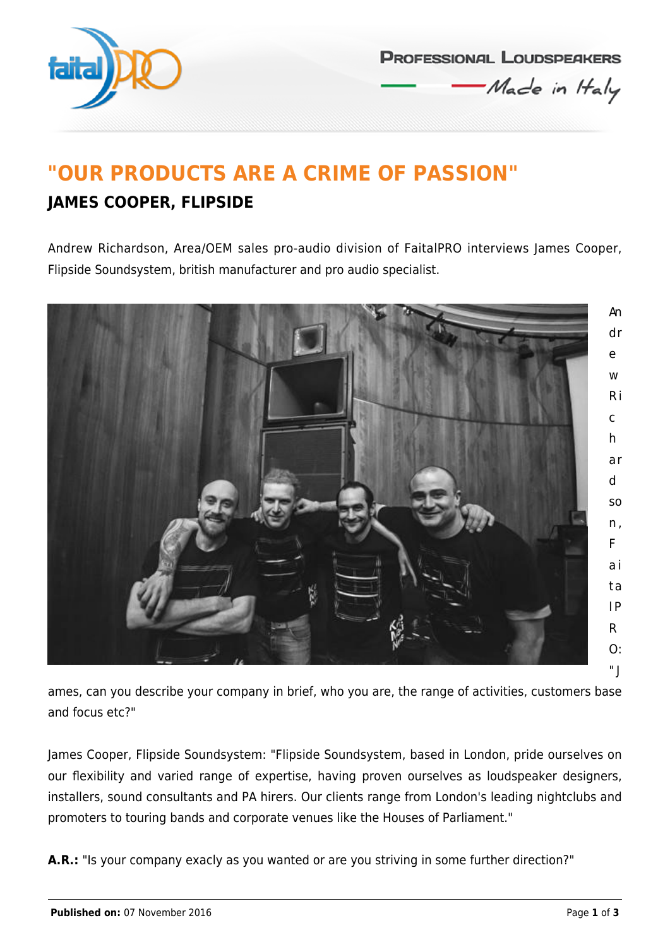

**PROFESSIONAL LOUDSPEAKERS** Made in Haly

## **"OUR PRODUCTS ARE A CRIME OF PASSION" JAMES COOPER, FLIPSIDE**

Andrew Richardson, Area/OEM sales pro-audio division of FaitalPRO interviews James Cooper, Flipside Soundsystem, british manufacturer and pro audio specialist.



ames, can you describe your company in brief, who you are, the range of activities, customers base and focus etc?"

James Cooper, Flipside Soundsystem: "Flipside Soundsystem, based in London, pride ourselves on our flexibility and varied range of expertise, having proven ourselves as loudspeaker designers, installers, sound consultants and PA hirers. Our clients range from London's leading nightclubs and promoters to touring bands and corporate venues like the Houses of Parliament."

A.R.: "Is your company exacly as you wanted or are you striving in some further direction?"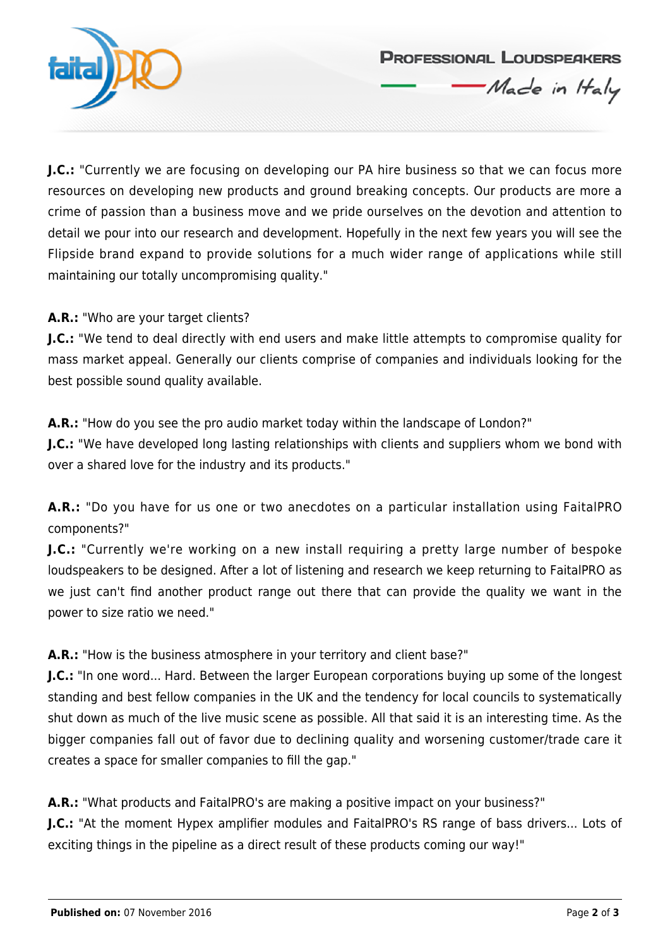

**J.C.:** "Currently we are focusing on developing our PA hire business so that we can focus more resources on developing new products and ground breaking concepts. Our products are more a crime of passion than a business move and we pride ourselves on the devotion and attention to detail we pour into our research and development. Hopefully in the next few years you will see the Flipside brand expand to provide solutions for a much wider range of applications while still

**PROFESSIONAL LOUDSPEAKERS** 

Made in Haly

A.R.: "Who are your target clients?

maintaining our totally uncompromising quality."

**J.C.:** "We tend to deal directly with end users and make little attempts to compromise quality for mass market appeal. Generally our clients comprise of companies and individuals looking for the best possible sound quality available.

**A.R.:** "How do you see the pro audio market today within the landscape of London?"

**J.C.:** "We have developed long lasting relationships with clients and suppliers whom we bond with over a shared love for the industry and its products."

**A.R.:** "Do you have for us one or two anecdotes on a particular installation using FaitalPRO components?"

**J.C.:** "Currently we're working on a new install requiring a pretty large number of bespoke loudspeakers to be designed. After a lot of listening and research we keep returning to FaitalPRO as we just can't find another product range out there that can provide the quality we want in the power to size ratio we need."

**A.R.:** "How is the business atmosphere in your territory and client base?"

**J.C.:** "In one word... Hard. Between the larger European corporations buying up some of the longest standing and best fellow companies in the UK and the tendency for local councils to systematically shut down as much of the live music scene as possible. All that said it is an interesting time. As the bigger companies fall out of favor due to declining quality and worsening customer/trade care it creates a space for smaller companies to fill the gap."

**A.R.:** "What products and FaitalPRO's are making a positive impact on your business?"

**J.C.:** "At the moment Hypex amplifier modules and FaitalPRO's RS range of bass drivers... Lots of exciting things in the pipeline as a direct result of these products coming our way!"